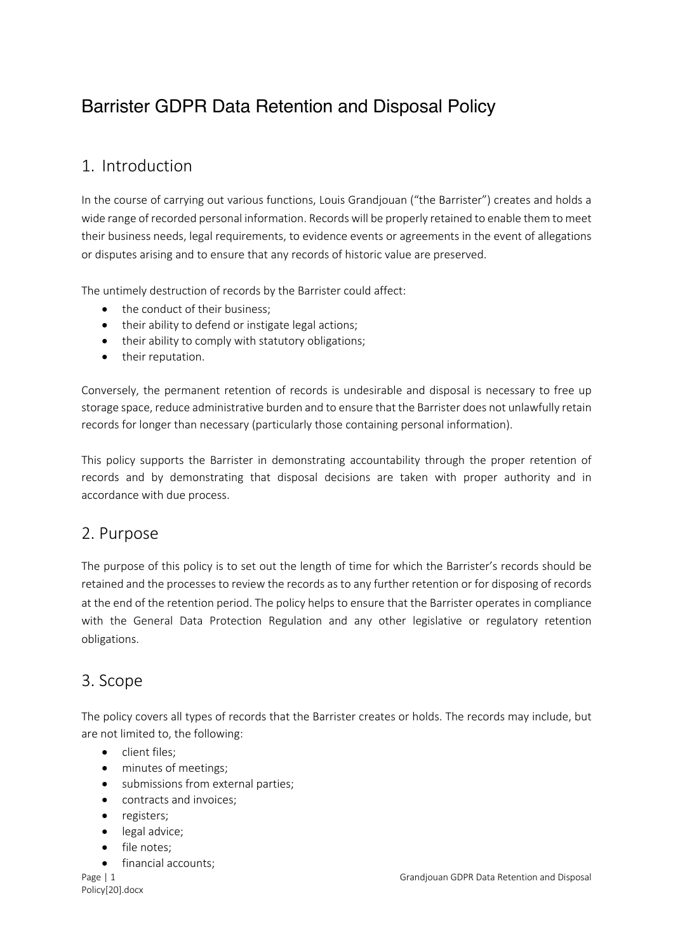# Barrister GDPR Data Retention and Disposal Policy

## 1. Introduction

In the course of carrying out various functions, Louis Grandjouan ("the Barrister") creates and holds a wide range of recorded personal information. Records will be properly retained to enable them to meet their business needs, legal requirements, to evidence events or agreements in the event of allegations or disputes arising and to ensure that any records of historic value are preserved.

The untimely destruction of records by the Barrister could affect:

- the conduct of their business:
- their ability to defend or instigate legal actions;
- their ability to comply with statutory obligations;
- their reputation.

Conversely, the permanent retention of records is undesirable and disposal is necessary to free up storage space, reduce administrative burden and to ensure that the Barrister does not unlawfully retain records for longer than necessary (particularly those containing personal information).

This policy supports the Barrister in demonstrating accountability through the proper retention of records and by demonstrating that disposal decisions are taken with proper authority and in accordance with due process.

### 2. Purpose

The purpose of this policy is to set out the length of time for which the Barrister's records should be retained and the processes to review the records as to any further retention or for disposing of records at the end of the retention period. The policy helps to ensure that the Barrister operates in compliance with the General Data Protection Regulation and any other legislative or regulatory retention obligations.

### 3. Scope

The policy covers all types of records that the Barrister creates or holds. The records may include, but are not limited to, the following:

- client files;
- minutes of meetings;
- submissions from external parties;
- contracts and invoices;
- registers;
- legal advice;
- file notes;
- financial accounts;

Policy[20].docx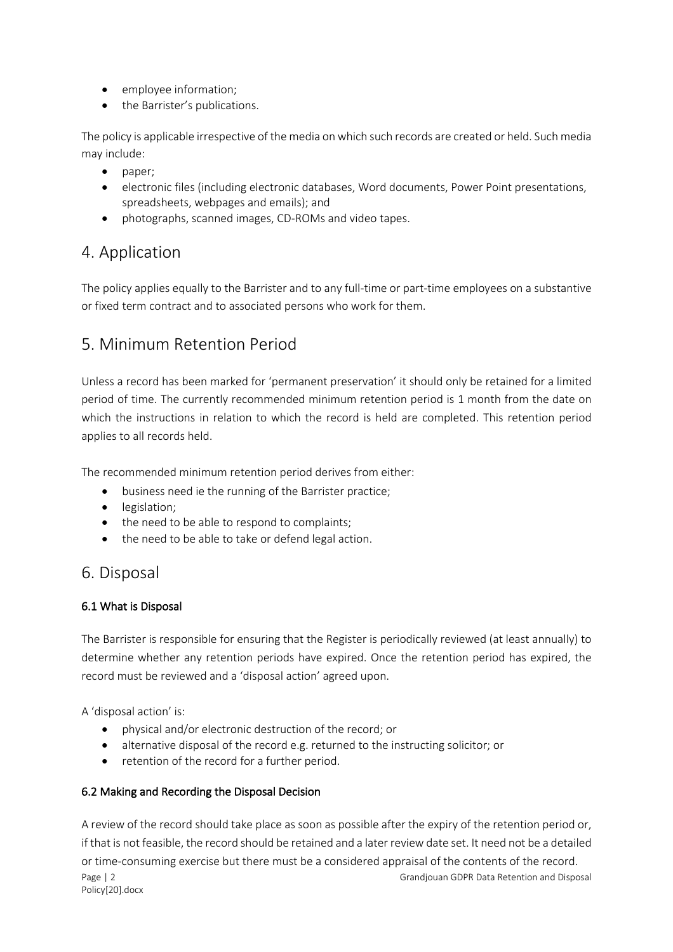- employee information;
- the Barrister's publications.

The policy is applicable irrespective of the media on which such records are created or held. Such media may include:

- paper;
- electronic files (including electronic databases, Word documents, Power Point presentations, spreadsheets, webpages and emails); and
- photographs, scanned images, CD-ROMs and video tapes.

### 4. Application

The policy applies equally to the Barrister and to any full-time or part-time employees on a substantive or fixed term contract and to associated persons who work for them.

### 5. Minimum Retention Period

Unless a record has been marked for 'permanent preservation' it should only be retained for a limited period of time. The currently recommended minimum retention period is 1 month from the date on which the instructions in relation to which the record is held are completed. This retention period applies to all records held.

The recommended minimum retention period derives from either:

- business need ie the running of the Barrister practice;
- legislation;
- the need to be able to respond to complaints;
- the need to be able to take or defend legal action.

### 6. Disposal

#### 6.1 What is Disposal

The Barrister is responsible for ensuring that the Register is periodically reviewed (at least annually) to determine whether any retention periods have expired. Once the retention period has expired, the record must be reviewed and a 'disposal action' agreed upon.

A 'disposal action' is:

- physical and/or electronic destruction of the record; or
- alternative disposal of the record e.g. returned to the instructing solicitor; or
- retention of the record for a further period.

#### 6.2 Making and Recording the Disposal Decision

Page | 2 Grandjouan GDPR Data Retention and Disposal Policy[20].docx A review of the record should take place as soon as possible after the expiry of the retention period or, if that is not feasible, the record should be retained and a later review date set. It need not be a detailed or time-consuming exercise but there must be a considered appraisal of the contents of the record.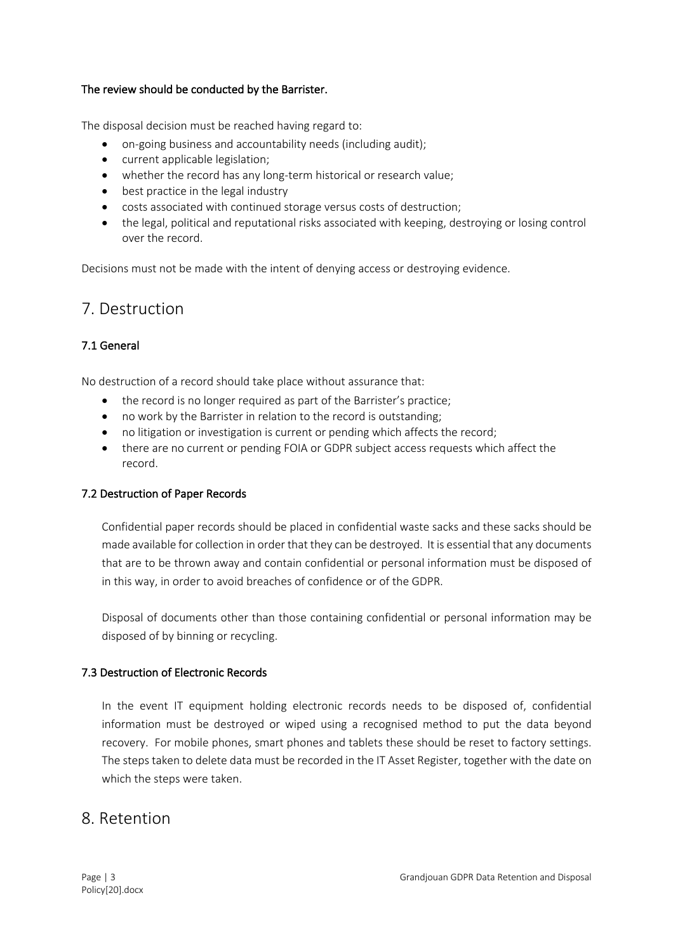#### The review should be conducted by the Barrister.

The disposal decision must be reached having regard to:

- on-going business and accountability needs (including audit);
- current applicable legislation;
- whether the record has any long-term historical or research value;
- best practice in the legal industry
- costs associated with continued storage versus costs of destruction;
- the legal, political and reputational risks associated with keeping, destroying or losing control over the record.

Decisions must not be made with the intent of denying access or destroying evidence.

### 7. Destruction

#### 7.1 General

No destruction of a record should take place without assurance that:

- the record is no longer required as part of the Barrister's practice;
- no work by the Barrister in relation to the record is outstanding;
- no litigation or investigation is current or pending which affects the record;
- there are no current or pending FOIA or GDPR subject access requests which affect the record.

#### 7.2 Destruction of Paper Records

Confidential paper records should be placed in confidential waste sacks and these sacks should be made available for collection in order that they can be destroyed. It is essential that any documents that are to be thrown away and contain confidential or personal information must be disposed of in this way, in order to avoid breaches of confidence or of the GDPR.

Disposal of documents other than those containing confidential or personal information may be disposed of by binning or recycling.

#### 7.3 Destruction of Electronic Records

In the event IT equipment holding electronic records needs to be disposed of, confidential information must be destroyed or wiped using a recognised method to put the data beyond recovery. For mobile phones, smart phones and tablets these should be reset to factory settings. The steps taken to delete data must be recorded in the IT Asset Register, together with the date on which the steps were taken.

### 8. Retention